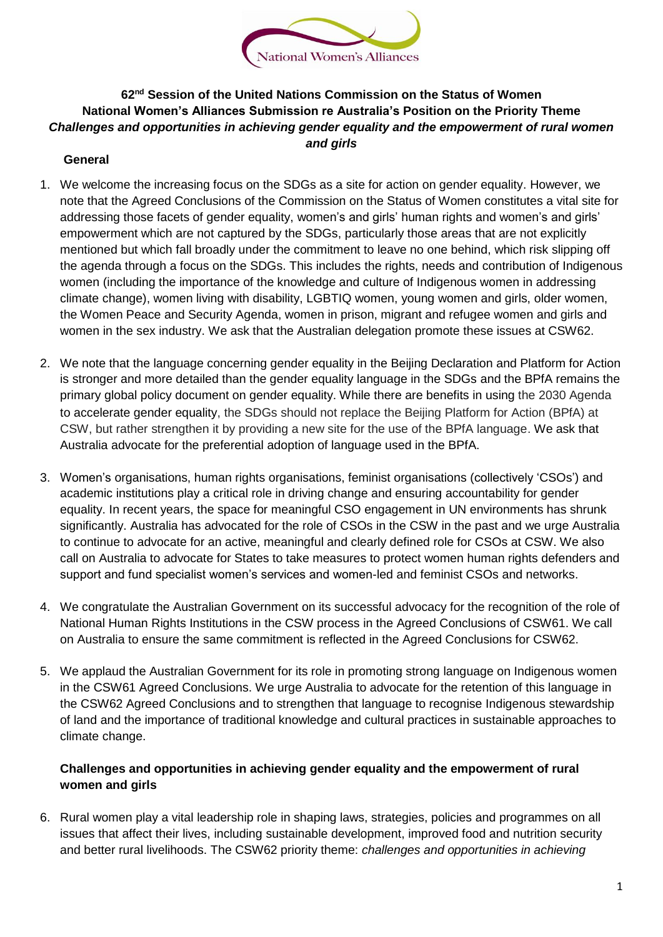

## **62nd Session of the United Nations Commission on the Status of Women National Women's Alliances Submission re Australia's Position on the Priority Theme** *Challenges and opportunities in achieving gender equality and the empowerment of rural women and girls*

## **General**

- 1. We welcome the increasing focus on the SDGs as a site for action on gender equality. However, we note that the Agreed Conclusions of the Commission on the Status of Women constitutes a vital site for addressing those facets of gender equality, women's and girls' human rights and women's and girls' empowerment which are not captured by the SDGs, particularly those areas that are not explicitly mentioned but which fall broadly under the commitment to leave no one behind, which risk slipping off the agenda through a focus on the SDGs. This includes the rights, needs and contribution of Indigenous women (including the importance of the knowledge and culture of Indigenous women in addressing climate change), women living with disability, LGBTIQ women, young women and girls, older women, the Women Peace and Security Agenda, women in prison, migrant and refugee women and girls and women in the sex industry. We ask that the Australian delegation promote these issues at CSW62.
- 2. We note that the language concerning gender equality in the Beijing Declaration and Platform for Action is stronger and more detailed than the gender equality language in the SDGs and the BPfA remains the primary global policy document on gender equality. While there are benefits in using the 2030 Agenda to accelerate gender equality, the SDGs should not replace the Beijing Platform for Action (BPfA) at CSW, but rather strengthen it by providing a new site for the use of the BPfA language. We ask that Australia advocate for the preferential adoption of language used in the BPfA.
- 3. Women's organisations, human rights organisations, feminist organisations (collectively 'CSOs') and academic institutions play a critical role in driving change and ensuring accountability for gender equality. In recent years, the space for meaningful CSO engagement in UN environments has shrunk significantly. Australia has advocated for the role of CSOs in the CSW in the past and we urge Australia to continue to advocate for an active, meaningful and clearly defined role for CSOs at CSW. We also call on Australia to advocate for States to take measures to protect women human rights defenders and support and fund specialist women's services and women-led and feminist CSOs and networks.
- 4. We congratulate the Australian Government on its successful advocacy for the recognition of the role of National Human Rights Institutions in the CSW process in the Agreed Conclusions of CSW61. We call on Australia to ensure the same commitment is reflected in the Agreed Conclusions for CSW62.
- 5. We applaud the Australian Government for its role in promoting strong language on Indigenous women in the CSW61 Agreed Conclusions. We urge Australia to advocate for the retention of this language in the CSW62 Agreed Conclusions and to strengthen that language to recognise Indigenous stewardship of land and the importance of traditional knowledge and cultural practices in sustainable approaches to climate change.

## **Challenges and opportunities in achieving gender equality and the empowerment of rural women and girls**

6. Rural women play a vital leadership role in shaping laws, strategies, policies and programmes on all issues that affect their lives, including sustainable development, improved food and nutrition security and better rural livelihoods. The CSW62 priority theme: *challenges and opportunities in achieving*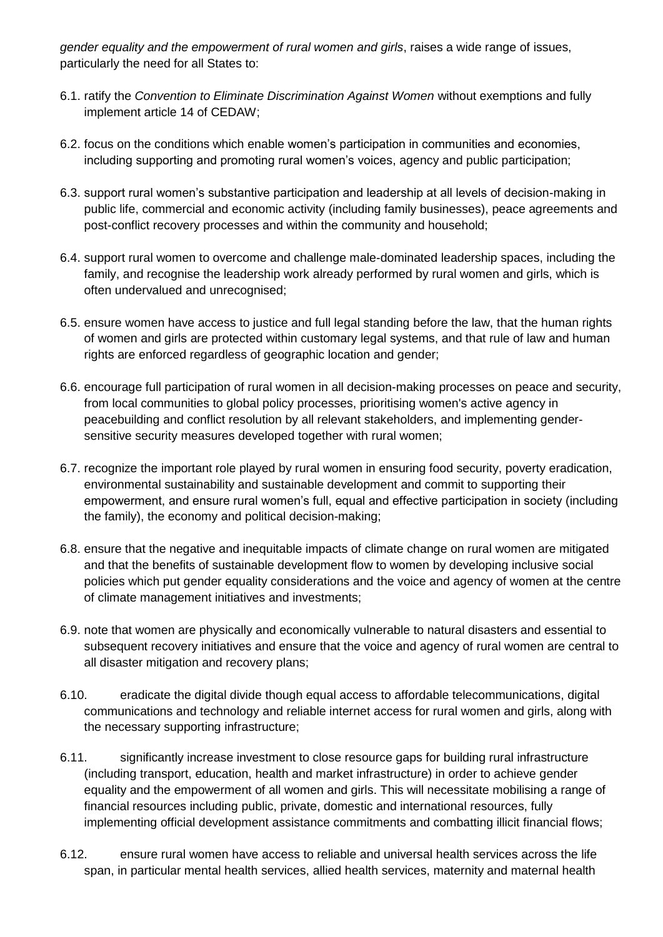*gender equality and the empowerment of rural women and girls*, raises a wide range of issues, particularly the need for all States to:

- 6.1. ratify the *Convention to Eliminate Discrimination Against Women* without exemptions and fully implement article 14 of CEDAW;
- 6.2. focus on the conditions which enable women's participation in communities and economies, including supporting and promoting rural women's voices, agency and public participation;
- 6.3. support rural women's substantive participation and leadership at all levels of decision-making in public life, commercial and economic activity (including family businesses), peace agreements and post-conflict recovery processes and within the community and household;
- 6.4. support rural women to overcome and challenge male-dominated leadership spaces, including the family, and recognise the leadership work already performed by rural women and girls, which is often undervalued and unrecognised;
- 6.5. ensure women have access to justice and full legal standing before the law, that the human rights of women and girls are protected within customary legal systems, and that rule of law and human rights are enforced regardless of geographic location and gender;
- 6.6. encourage full participation of rural women in all decision-making processes on peace and security, from local communities to global policy processes, prioritising women's active agency in peacebuilding and conflict resolution by all relevant stakeholders, and implementing gendersensitive security measures developed together with rural women;
- 6.7. recognize the important role played by rural women in ensuring food security, poverty eradication, environmental sustainability and sustainable development and commit to supporting their empowerment, and ensure rural women's full, equal and effective participation in society (including the family), the economy and political decision-making;
- 6.8. ensure that the negative and inequitable impacts of climate change on rural women are mitigated and that the benefits of sustainable development flow to women by developing inclusive social policies which put gender equality considerations and the voice and agency of women at the centre of climate management initiatives and investments;
- 6.9. note that women are physically and economically vulnerable to natural disasters and essential to subsequent recovery initiatives and ensure that the voice and agency of rural women are central to all disaster mitigation and recovery plans;
- 6.10. eradicate the digital divide though equal access to affordable telecommunications, digital communications and technology and reliable internet access for rural women and girls, along with the necessary supporting infrastructure;
- 6.11. significantly increase investment to close resource gaps for building rural infrastructure (including transport, education, health and market infrastructure) in order to achieve gender equality and the empowerment of all women and girls. This will necessitate mobilising a range of financial resources including public, private, domestic and international resources, fully implementing official development assistance commitments and combatting illicit financial flows;
- 6.12. ensure rural women have access to reliable and universal health services across the life span, in particular mental health services, allied health services, maternity and maternal health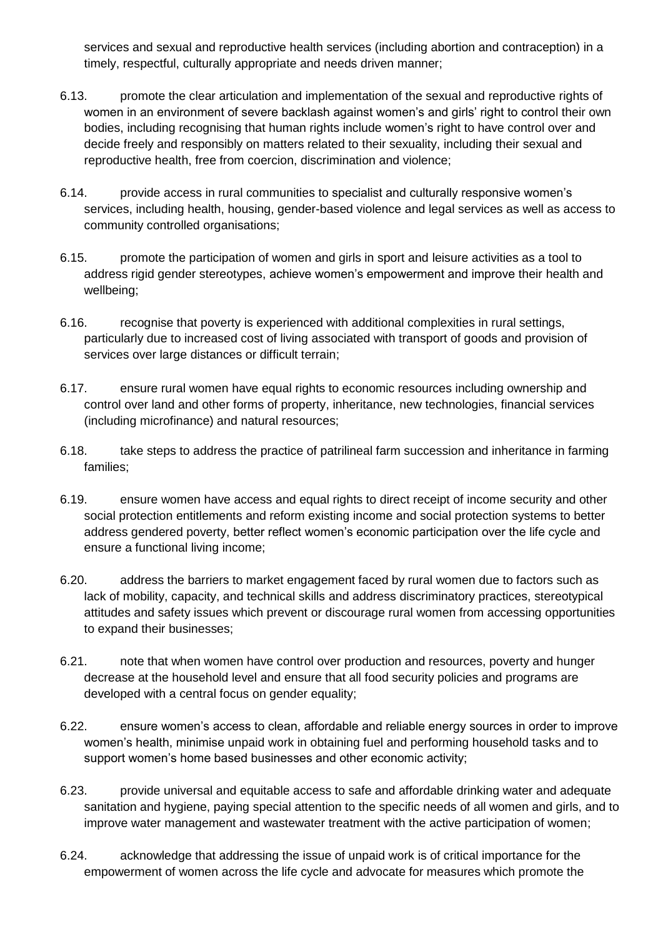services and sexual and reproductive health services (including abortion and contraception) in a timely, respectful, culturally appropriate and needs driven manner;

- 6.13. promote the clear articulation and implementation of the sexual and reproductive rights of women in an environment of severe backlash against women's and girls' right to control their own bodies, including recognising that human rights include women's right to have control over and decide freely and responsibly on matters related to their sexuality, including their sexual and reproductive health, free from coercion, discrimination and violence;
- 6.14. provide access in rural communities to specialist and culturally responsive women's services, including health, housing, gender-based violence and legal services as well as access to community controlled organisations;
- 6.15. promote the participation of women and girls in sport and leisure activities as a tool to address rigid gender stereotypes, achieve women's empowerment and improve their health and wellbeing;
- 6.16. recognise that poverty is experienced with additional complexities in rural settings, particularly due to increased cost of living associated with transport of goods and provision of services over large distances or difficult terrain;
- 6.17. ensure rural women have equal rights to economic resources including ownership and control over land and other forms of property, inheritance, new technologies, financial services (including microfinance) and natural resources;
- 6.18. take steps to address the practice of patrilineal farm succession and inheritance in farming families;
- 6.19. ensure women have access and equal rights to direct receipt of income security and other social protection entitlements and reform existing income and social protection systems to better address gendered poverty, better reflect women's economic participation over the life cycle and ensure a functional living income;
- 6.20. address the barriers to market engagement faced by rural women due to factors such as lack of mobility, capacity, and technical skills and address discriminatory practices, stereotypical attitudes and safety issues which prevent or discourage rural women from accessing opportunities to expand their businesses;
- 6.21. note that when women have control over production and resources, poverty and hunger decrease at the household level and ensure that all food security policies and programs are developed with a central focus on gender equality;
- 6.22. ensure women's access to clean, affordable and reliable energy sources in order to improve women's health, minimise unpaid work in obtaining fuel and performing household tasks and to support women's home based businesses and other economic activity;
- 6.23. provide universal and equitable access to safe and affordable drinking water and adequate sanitation and hygiene, paying special attention to the specific needs of all women and girls, and to improve water management and wastewater treatment with the active participation of women;
- 6.24. acknowledge that addressing the issue of unpaid work is of critical importance for the empowerment of women across the life cycle and advocate for measures which promote the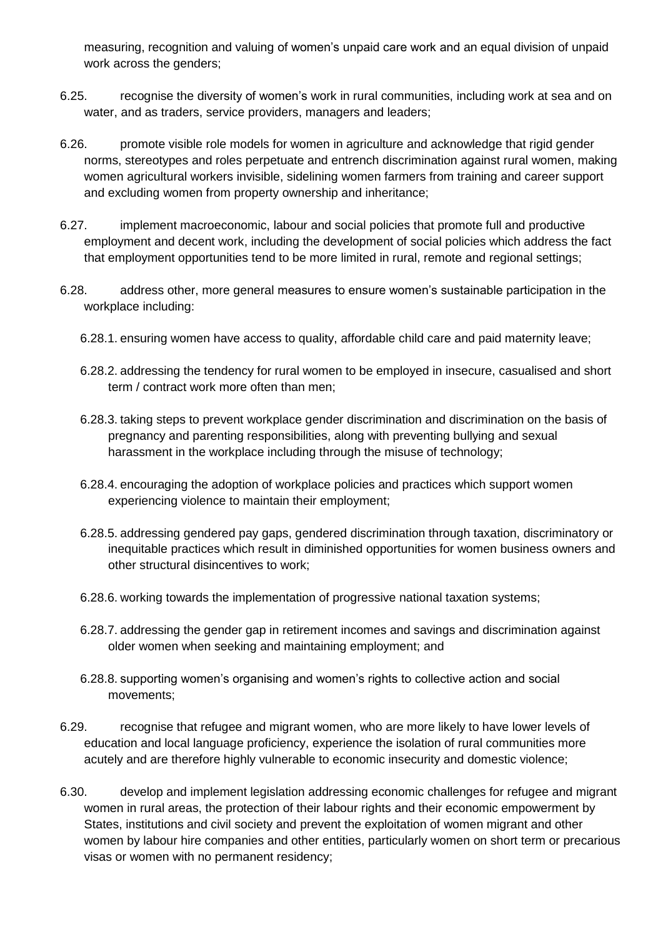measuring, recognition and valuing of women's unpaid care work and an equal division of unpaid work across the genders;

- 6.25. recognise the diversity of women's work in rural communities, including work at sea and on water, and as traders, service providers, managers and leaders;
- 6.26. promote visible role models for women in agriculture and acknowledge that rigid gender norms, stereotypes and roles perpetuate and entrench discrimination against rural women, making women agricultural workers invisible, sidelining women farmers from training and career support and excluding women from property ownership and inheritance;
- 6.27. implement macroeconomic, labour and social policies that promote full and productive employment and decent work, including the development of social policies which address the fact that employment opportunities tend to be more limited in rural, remote and regional settings;
- 6.28. address other, more general measures to ensure women's sustainable participation in the workplace including:
	- 6.28.1. ensuring women have access to quality, affordable child care and paid maternity leave;
	- 6.28.2. addressing the tendency for rural women to be employed in insecure, casualised and short term / contract work more often than men;
	- 6.28.3. taking steps to prevent workplace gender discrimination and discrimination on the basis of pregnancy and parenting responsibilities, along with preventing bullying and sexual harassment in the workplace including through the misuse of technology;
	- 6.28.4. encouraging the adoption of workplace policies and practices which support women experiencing violence to maintain their employment;
	- 6.28.5. addressing gendered pay gaps, gendered discrimination through taxation, discriminatory or inequitable practices which result in diminished opportunities for women business owners and other structural disincentives to work;
	- 6.28.6. working towards the implementation of progressive national taxation systems;
	- 6.28.7. addressing the gender gap in retirement incomes and savings and discrimination against older women when seeking and maintaining employment; and
	- 6.28.8. supporting women's organising and women's rights to collective action and social movements;
- 6.29. recognise that refugee and migrant women, who are more likely to have lower levels of education and local language proficiency, experience the isolation of rural communities more acutely and are therefore highly vulnerable to economic insecurity and domestic violence;
- 6.30. develop and implement legislation addressing economic challenges for refugee and migrant women in rural areas, the protection of their labour rights and their economic empowerment by States, institutions and civil society and prevent the exploitation of women migrant and other women by labour hire companies and other entities, particularly women on short term or precarious visas or women with no permanent residency;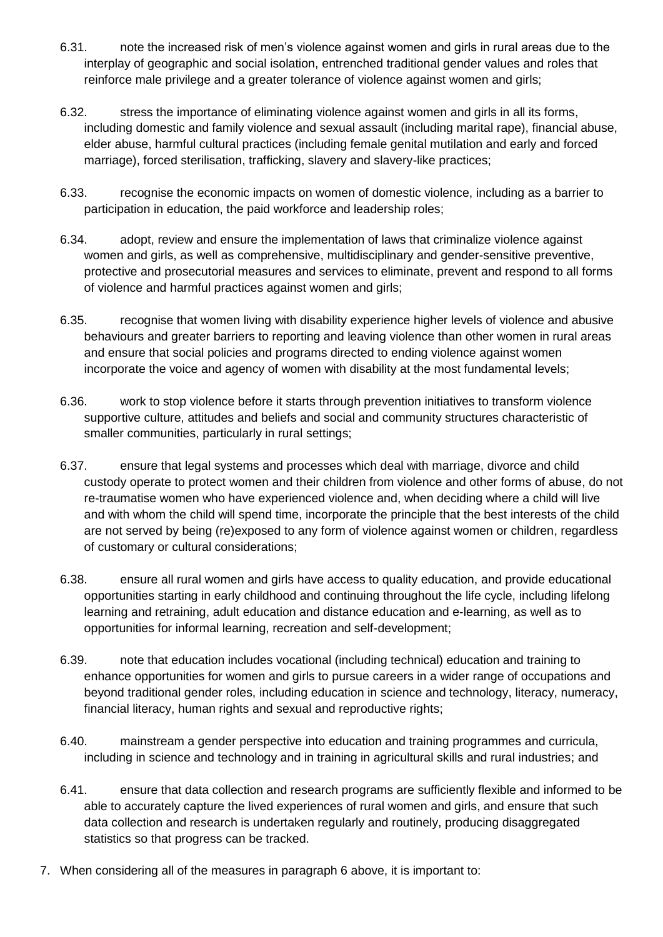- 6.31. note the increased risk of men's violence against women and girls in rural areas due to the interplay of geographic and social isolation, entrenched traditional gender values and roles that reinforce male privilege and a greater tolerance of violence against women and girls;
- 6.32. stress the importance of eliminating violence against women and girls in all its forms, including domestic and family violence and sexual assault (including marital rape), financial abuse, elder abuse, harmful cultural practices (including female genital mutilation and early and forced marriage), forced sterilisation, trafficking, slavery and slavery-like practices;
- 6.33. recognise the economic impacts on women of domestic violence, including as a barrier to participation in education, the paid workforce and leadership roles;
- 6.34. adopt, review and ensure the implementation of laws that criminalize violence against women and girls, as well as comprehensive, multidisciplinary and gender-sensitive preventive, protective and prosecutorial measures and services to eliminate, prevent and respond to all forms of violence and harmful practices against women and girls;
- 6.35. recognise that women living with disability experience higher levels of violence and abusive behaviours and greater barriers to reporting and leaving violence than other women in rural areas and ensure that social policies and programs directed to ending violence against women incorporate the voice and agency of women with disability at the most fundamental levels;
- 6.36. work to stop violence before it starts through prevention initiatives to transform violence supportive culture, attitudes and beliefs and social and community structures characteristic of smaller communities, particularly in rural settings;
- 6.37. ensure that legal systems and processes which deal with marriage, divorce and child custody operate to protect women and their children from violence and other forms of abuse, do not re-traumatise women who have experienced violence and, when deciding where a child will live and with whom the child will spend time, incorporate the principle that the best interests of the child are not served by being (re)exposed to any form of violence against women or children, regardless of customary or cultural considerations;
- 6.38. ensure all rural women and girls have access to quality education, and provide educational opportunities starting in early childhood and continuing throughout the life cycle, including lifelong learning and retraining, adult education and distance education and e-learning, as well as to opportunities for informal learning, recreation and self-development;
- 6.39. note that education includes vocational (including technical) education and training to enhance opportunities for women and girls to pursue careers in a wider range of occupations and beyond traditional gender roles, including education in science and technology, literacy, numeracy, financial literacy, human rights and sexual and reproductive rights;
- 6.40. mainstream a gender perspective into education and training programmes and curricula, including in science and technology and in training in agricultural skills and rural industries; and
- 6.41. ensure that data collection and research programs are sufficiently flexible and informed to be able to accurately capture the lived experiences of rural women and girls, and ensure that such data collection and research is undertaken regularly and routinely, producing disaggregated statistics so that progress can be tracked.
- 7. When considering all of the measures in paragraph 6 above, it is important to: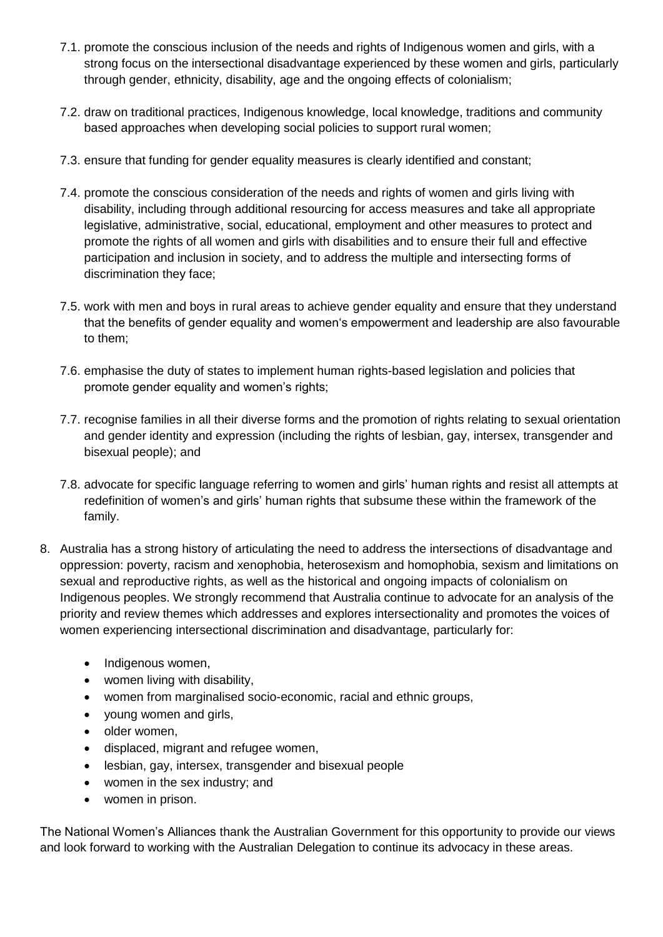- 7.1. promote the conscious inclusion of the needs and rights of Indigenous women and girls, with a strong focus on the intersectional disadvantage experienced by these women and girls, particularly through gender, ethnicity, disability, age and the ongoing effects of colonialism;
- 7.2. draw on traditional practices, Indigenous knowledge, local knowledge, traditions and community based approaches when developing social policies to support rural women;
- 7.3. ensure that funding for gender equality measures is clearly identified and constant;
- 7.4. promote the conscious consideration of the needs and rights of women and girls living with disability, including through additional resourcing for access measures and take all appropriate legislative, administrative, social, educational, employment and other measures to protect and promote the rights of all women and girls with disabilities and to ensure their full and effective participation and inclusion in society, and to address the multiple and intersecting forms of discrimination they face;
- 7.5. work with men and boys in rural areas to achieve gender equality and ensure that they understand that the benefits of gender equality and women's empowerment and leadership are also favourable to them;
- 7.6. emphasise the duty of states to implement human rights-based legislation and policies that promote gender equality and women's rights;
- 7.7. recognise families in all their diverse forms and the promotion of rights relating to sexual orientation and gender identity and expression (including the rights of lesbian, gay, intersex, transgender and bisexual people); and
- 7.8. advocate for specific language referring to women and girls' human rights and resist all attempts at redefinition of women's and girls' human rights that subsume these within the framework of the family.
- 8. Australia has a strong history of articulating the need to address the intersections of disadvantage and oppression: poverty, racism and xenophobia, heterosexism and homophobia, sexism and limitations on sexual and reproductive rights, as well as the historical and ongoing impacts of colonialism on Indigenous peoples. We strongly recommend that Australia continue to advocate for an analysis of the priority and review themes which addresses and explores intersectionality and promotes the voices of women experiencing intersectional discrimination and disadvantage, particularly for:
	- Indigenous women,
	- women living with disability.
	- women from marginalised socio-economic, racial and ethnic groups,
	- young women and girls,
	- older women,
	- displaced, migrant and refugee women,
	- lesbian, gay, intersex, transgender and bisexual people
	- women in the sex industry; and
	- women in prison.

The National Women's Alliances thank the Australian Government for this opportunity to provide our views and look forward to working with the Australian Delegation to continue its advocacy in these areas.